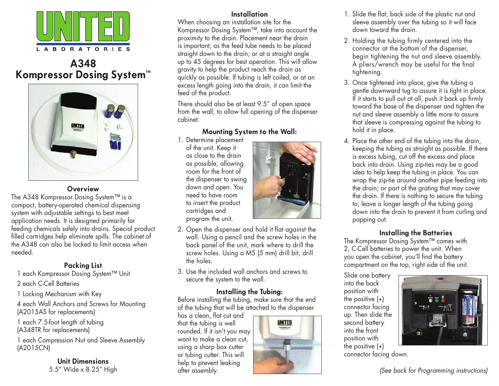

# **A348 Kompressor Dosing System™**



#### **Overview**

The A348 Kompressor Dosing System™ is a compact, battery-operated chemical dispensing system with adjustable settings to best meet application needs. It is designed primarily for feeding chemicals safely into drains. Special product filled cartridges help eliminate spills. The cabinet of the A348 can also be locked to limit access when needed.

## **Packing List**

1 each Kompressor Dosing System™ Unit

2 each C-Cell Batteries

1 Locking Mechanism with Key

4 each Wall Anchors and Screws for Mounting (A2015AS for replacements)

1 each 7.5-foot length of tubing (A348TR for replacements)

1 each Compression Nut and Sleeve Assembly (A2015CN)

> **Unit Dimensions** 5.5" Wide x 8.25" High

### **Installation**

When choosing an installation site for the Kompressor Dosing System™, take into account the proximity to the drain. Placement near the drain is important; as the feed tube needs to be placed straight down to the drain; or at a straight angle up to 45 degrees for best operation. This will allow gravity to help the product reach the drain as quickly as possible. If tubing is left coiled, or at an excess length going into the drain, it can limit the feed of the product.

There should also be at least 9.5" of open space from the wall, to allow full opening of the dispenser cabinet.

### **Mounting System to the Wall:**

1. Determine placement of the unit. Keep it as close to the drain as possible, allowing room for the front of the dispenser to swing down and open. You need to have room to insert the product cartridges and program the unit.



- 2. Open the dispenser and hold it flat against the wall. Using a pencil and the screw holes in the back panel of the unit, mark where to drill the screw holes. Using a M5 (5 mm) drill bit, drill the holes.
- 3. Use the included wall anchors and screws to secure the system to the wall.

### **Installing the Tubing:**

Before installing the tubing, make sure that the end of the tubing that will be attached to the dispenser

has a clean, flat cut and that the tubing is well rounded. If it isn't you may want to make a clean cut, using a sharp box cutter or tubing cutter. This will help to prevent leaking after assembly.



- 1. Slide the flat, back side of the plastic nut and sleeve assembly over the tubing so it will face down toward the drain.
- 2. Holding the tubing firmly centered into the connector at the bottom of the dispenser, begin tightening the nut and sleeve assembly. A pliers/wrench may be useful for the final tightening.
- 3. Once tightened into place, give the tubing a gentle downward tug to assure it is tight in place. If it starts to pull out at all, push it back up firmly toward the base of the dispenser and tighten the nut and sleeve assembly a little more to assure that sleeve is compressing against the tubing to hold it in place.
- 4. Place the other end of the tubing into the drain, keeping the tubing as straight as possible. If there is excess tubing, cut off the excess and place back into drain. Using zip-ties may be a good idea to help keep the tubing in place. You can wrap the zip-tie around another pipe feeding into the drain; or part of the grating that may cover the drain. If there is nothing to secure the tubing to, leave a longer length of the tubing going down into the drain to prevent it from curling and popping out.

### **Installing the Batteries**

The Kompressor Dosing System™ comes with 2, C-Cell batteries to power the unit. When you open the cabinet, you'll find the battery compartment on the top, right side of the unit.

Slide one battery into the back position with the positive (+) connector facing up. Then slide the second battery into the front position with the positive (+)



connector facing down.